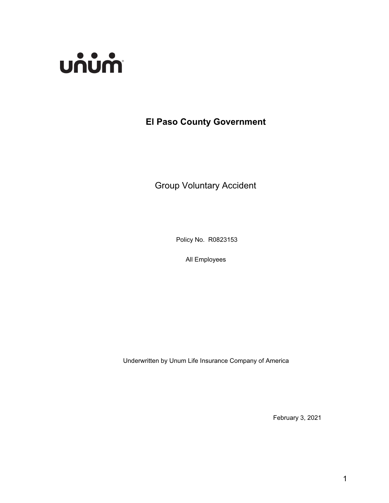

# **El Paso County Government**

Group Voluntary Accident

Policy No. R0823153

All Employees

Underwritten by Unum Life Insurance Company of America

February 3, 2021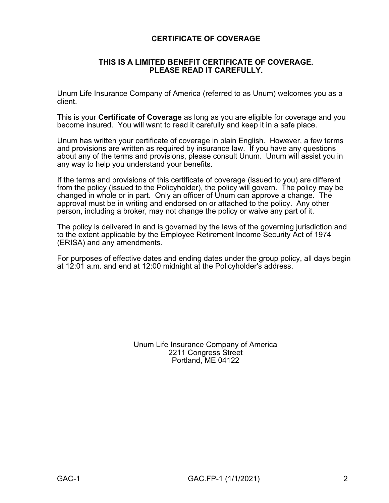## **CERTIFICATE OF COVERAGE**

### **THIS IS A LIMITED BENEFIT CERTIFICATE OF COVERAGE. PLEASE READ IT CAREFULLY.**

Unum Life Insurance Company of America (referred to as Unum) welcomes you as a client.

This is your **Certificate of Coverage** as long as you are eligible for coverage and you become insured. You will want to read it carefully and keep it in a safe place.

Unum has written your certificate of coverage in plain English. However, a few terms and provisions are written as required by insurance law. If you have any questions about any of the terms and provisions, please consult Unum. Unum will assist you in any way to help you understand your benefits.

If the terms and provisions of this certificate of coverage (issued to you) are different from the policy (issued to the Policyholder), the policy will govern. The policy may be changed in whole or in part. Only an officer of Unum can approve a change. The approval must be in writing and endorsed on or attached to the policy. Any other person, including a broker, may not change the policy or waive any part of it.

The policy is delivered in and is governed by the laws of the governing jurisdiction and to the extent applicable by the Employee Retirement Income Security Act of 1974 (ERISA) and any amendments.

For purposes of effective dates and ending dates under the group policy, all days begin at 12:01 a.m. and end at 12:00 midnight at the Policyholder's address.

> Unum Life Insurance Company of America 2211 Congress Street Portland, ME 04122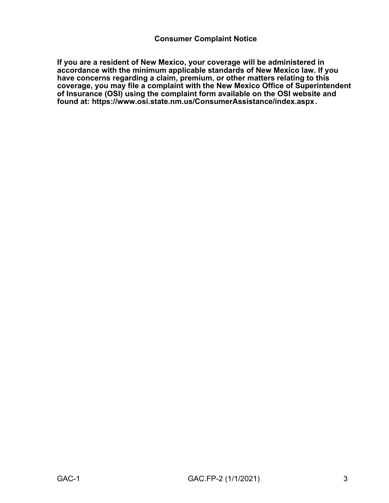**If you are a resident of New Mexico, your coverage will be administered in accordance with the minimum applicable standards of New Mexico law. If you have concerns regarding a claim, premium, or other matters relating to this coverage, you may file a complaint with the New Mexico Office of Superintendent of Insurance (OSI) using the complaint form available on the OSI website and found at: <https://www.osi.state.nm.us/ConsumerAssistance/index.aspx>.**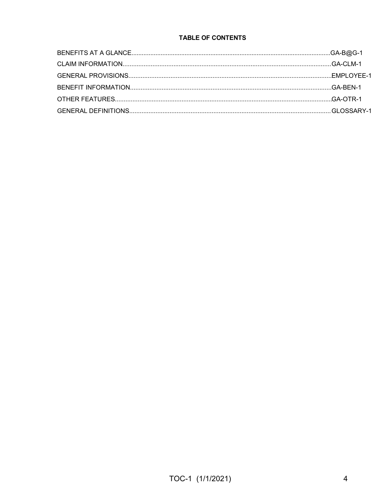### **TABLE OF CONTENTS**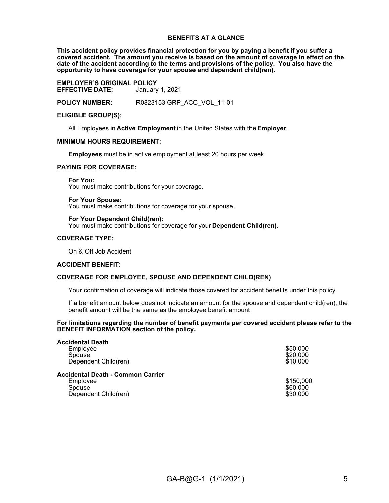#### **BENEFITS AT A GLANCE**

**This accident policy provides financial protection for you by paying a benefit if you suffer a covered accident. The amount you receive is based on the amount of coverage in effect on the date of the accident according to the terms and provisions of the policy. You also have the opportunity to have coverage for your spouse and dependent child(ren).**

**EMPLOYER'S ORIGINAL POLICY EFFECTIVE DATE:** 

**POLICY NUMBER:** R0823153 GRP\_ACC\_VOL\_11-01

#### **ELIGIBLE GROUP(S):**

All Employees in **Active Employment** in the United States with the **Employer**.

#### **MINIMUM HOURS REQUIREMENT:**

**Employees** must be in active employment at least 20 hours per week.

#### **PAYING FOR COVERAGE:**

**For You:** You must make contributions for your coverage.

**For Your Spouse:** You must make contributions for coverage for your spouse.

**For Your Dependent Child(ren):** You must make contributions for coverage for your **Dependent Child(ren)**.

#### **COVERAGE TYPE:**

On & Off Job Accident

#### **ACCIDENT BENEFIT:**

#### **COVERAGE FOR EMPLOYEE, SPOUSE AND DEPENDENT CHILD(REN)**

Your confirmation of coverage will indicate those covered for accident benefits under this policy.

If a benefit amount below does not indicate an amount for the spouse and dependent child(ren), the benefit amount will be the same as the employee benefit amount.

#### **For limitations regarding the number of benefit payments per covered accident please refer to the BENEFIT INFORMATION section of the policy.**

| Accidental Death<br>Employee<br>Spouse<br>Dependent Child(ren)                         | \$50,000<br>\$20,000<br>\$10,000  |
|----------------------------------------------------------------------------------------|-----------------------------------|
| <b>Accidental Death - Common Carrier</b><br>Employee<br>Spouse<br>Dependent Child(ren) | \$150,000<br>\$60,000<br>\$30,000 |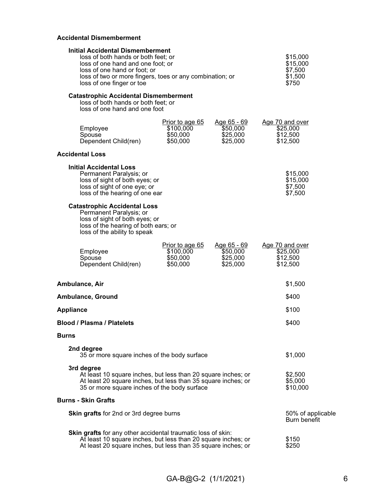#### **Accidental Dismemberment**

| <b>Initial Accidental Dismemberment</b><br>loss of both hands or both feet; or<br>loss of one hand and one foot; or<br>loss of one hand or foot; or<br>loss of two or more fingers, toes or any combination; or<br>loss of one finger or toe |                                                      |                                                 | \$15,000<br>\$15,000<br>\$7,500<br>\$1,500<br>\$750 |  |
|----------------------------------------------------------------------------------------------------------------------------------------------------------------------------------------------------------------------------------------------|------------------------------------------------------|-------------------------------------------------|-----------------------------------------------------|--|
| <b>Catastrophic Accidental Dismemberment</b><br>loss of both hands or both feet; or<br>loss of one hand and one foot                                                                                                                         |                                                      |                                                 |                                                     |  |
| Employee<br>Spouse<br>Dependent Child(ren)                                                                                                                                                                                                   | Prior to age 65<br>\$100,000<br>\$50,000<br>\$50,000 | Age 65 - 69<br>\$50,000<br>\$25,000<br>\$25,000 | Age 70 and over<br>\$25,000<br>\$12,500<br>\$12,500 |  |
| Accidental Loss                                                                                                                                                                                                                              |                                                      |                                                 |                                                     |  |
| <b>Initial Accidental Loss</b><br>Permanent Paralysis; or<br>loss of sight of both eyes; or<br>loss of sight of one eye; or<br>loss of the hearing of one ear                                                                                |                                                      |                                                 | \$15,000<br>\$15,000<br>\$7,500<br>\$7,500          |  |
| <b>Catastrophic Accidental Loss</b><br>Permanent Paralysis; or<br>loss of sight of both eyes; or<br>loss of the hearing of both ears; or<br>loss of the ability to speak                                                                     |                                                      |                                                 |                                                     |  |
| Employee<br>Spouse<br>Dependent Child(ren)                                                                                                                                                                                                   | Prior to age 65<br>\$100,000<br>\$50,000<br>\$50,000 | Age 65 - 69<br>\$50,000<br>\$25,000<br>\$25,000 | Age 70 and over<br>\$25,000<br>\$12,500<br>\$12,500 |  |
| Ambulance, Air                                                                                                                                                                                                                               |                                                      |                                                 | \$1,500                                             |  |
| Ambulance, Ground                                                                                                                                                                                                                            |                                                      |                                                 | \$400                                               |  |
| <b>Appliance</b>                                                                                                                                                                                                                             |                                                      |                                                 | \$100                                               |  |
| <b>Blood / Plasma / Platelets</b>                                                                                                                                                                                                            |                                                      |                                                 | \$400                                               |  |
| Burns                                                                                                                                                                                                                                        |                                                      |                                                 |                                                     |  |
| 2nd degree<br>35 or more square inches of the body surface                                                                                                                                                                                   |                                                      |                                                 | \$1,000                                             |  |
| 3rd degree<br>At least 10 square inches, but less than 20 square inches; or<br>At least 20 square inches, but less than 35 square inches; or<br>35 or more square inches of the body surface                                                 |                                                      |                                                 | \$2,500<br>\$5,000<br>\$10,000                      |  |
| <b>Burns - Skin Grafts</b>                                                                                                                                                                                                                   |                                                      |                                                 |                                                     |  |
| Skin grafts for 2nd or 3rd degree burns                                                                                                                                                                                                      |                                                      |                                                 | 50% of applicable<br>Burn benefit                   |  |
| Skin grafts for any other accidental traumatic loss of skin:<br>At least 10 square inches, but less than 20 square inches; or<br>At least 20 square inches, but less than 35 square inches; or                                               |                                                      |                                                 | \$150<br>\$250                                      |  |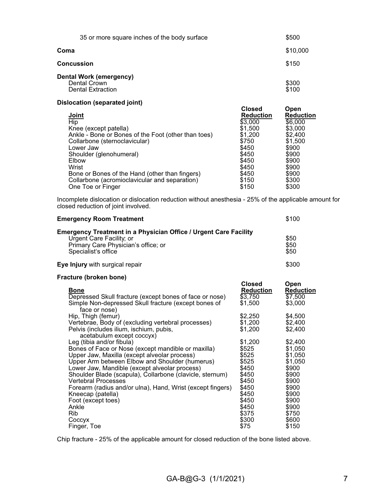| 35 or more square inches of the body surface                               | \$500          |
|----------------------------------------------------------------------------|----------------|
| Coma                                                                       | \$10,000       |
| <b>Concussion</b>                                                          | \$150          |
| <b>Dental Work (emergency)</b><br>Dental Crown<br><b>Dental Extraction</b> | \$300<br>\$100 |
| Dislocation (separated joint)                                              |                |

| <b>Closed</b>    | Open             |  |
|------------------|------------------|--|
| <b>Reduction</b> | <b>Reduction</b> |  |
| \$3,000          | \$6,000          |  |
| \$1,500          | \$3,000          |  |
| \$1,200          | \$2,400          |  |
| \$750            | \$1,500          |  |
| \$450            | \$900            |  |
| \$450            | \$900            |  |
| \$450            | \$900            |  |
| \$450            | \$900            |  |
| \$450            | \$900            |  |
| \$150            | \$300            |  |
| \$150            | \$300            |  |
|                  |                  |  |

Incomplete dislocation or dislocation reduction without anesthesia - 25% of the applicable amount for closed reduction of joint involved.

| <b>Emergency Room Treatment</b>                                                                                                                            | \$100                |  |
|------------------------------------------------------------------------------------------------------------------------------------------------------------|----------------------|--|
| Emergency Treatment in a Physician Office / Urgent Care Facility<br>Urgent Care Facility; or<br>Primary Care Physician's office; or<br>Specialist's office | \$50<br>\$50<br>\$50 |  |
| Eye Injury with surgical repair                                                                                                                            | \$300                |  |

#### **Fracture (broken bone)**

| וטווטט ווטאטוואטווען                                                  |                                   |                          |
|-----------------------------------------------------------------------|-----------------------------------|--------------------------|
| <b>Bone</b>                                                           | <b>Closed</b><br><b>Reduction</b> | Open<br><b>Reduction</b> |
| Depressed Skull fracture (except bones of face or nose)               | \$3,750                           | \$7,500                  |
| Simple Non-depressed Skull fracture (except bones of<br>face or nose) | \$1,500                           | \$3,000                  |
| Hip, Thigh (femur)                                                    | \$2,250                           | \$4,500                  |
| Vertebrae, Body of (excluding vertebral processes)                    | \$1,200                           | \$2,400                  |
| Pelvis (includes ilium, ischium, pubis,                               | \$1.200                           | \$2.400                  |
| acetabulum except coccyx)                                             |                                   |                          |
| Leg (tibia and/or fibula)                                             | \$1,200                           | \$2,400                  |
| Bones of Face or Nose (except mandible or maxilla)                    | \$525                             | \$1,050                  |
| Upper Jaw, Maxilla (except alveolar process)                          | \$525                             | \$1,050                  |
| Upper Arm between Elbow and Shoulder (humerus)                        | \$525                             | \$1,050                  |
| Lower Jaw, Mandible (except alveolar process)                         | \$450                             | \$900                    |
| Shoulder Blade (scapula), Collarbone (clavicle, sternum)              | \$450                             | \$900                    |
| <b>Vertebral Processes</b>                                            | \$450                             | \$900                    |
| Forearm (radius and/or ulna), Hand, Wrist (except fingers)            | \$450                             | \$900                    |
| Kneecap (patella)                                                     | \$450                             | \$900                    |
| Foot (except toes)                                                    | \$450                             | \$900                    |
| Ankle                                                                 | \$450                             | \$900                    |
| <b>Rib</b>                                                            | \$375                             | \$750                    |
| Coccyx                                                                | \$300                             | \$600                    |
| Finger, Toe                                                           | \$75                              | \$150                    |
|                                                                       |                                   |                          |

Chip fracture - 25% of the applicable amount for closed reduction of the bone listed above.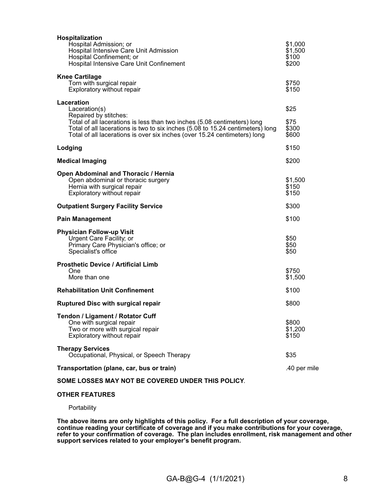| Hospitalization<br>Hospital Admission; or<br>Hospital Intensive Care Unit Admission<br>Hospital Confinement; or<br>Hospital Intensive Care Unit Confinement                                                                                                                                     | \$1,000<br>\$1,500<br>\$100<br>\$200 |
|-------------------------------------------------------------------------------------------------------------------------------------------------------------------------------------------------------------------------------------------------------------------------------------------------|--------------------------------------|
| <b>Knee Cartilage</b><br>Torn with surgical repair<br>Exploratory without repair                                                                                                                                                                                                                | \$750<br>\$150                       |
| Laceration<br>Laceration(s)<br>Repaired by stitches:<br>Total of all lacerations is less than two inches (5.08 centimeters) long<br>Total of all lacerations is two to six inches (5.08 to 15.24 centimeters) long<br>Total of all lacerations is over six inches (over 15.24 centimeters) long | \$25<br>\$75<br>\$300<br>\$600       |
| Lodging                                                                                                                                                                                                                                                                                         | \$150                                |
| <b>Medical Imaging</b>                                                                                                                                                                                                                                                                          | \$200                                |
| Open Abdominal and Thoracic / Hernia<br>Open abdominal or thoracic surgery<br>Hernia with surgical repair<br>Exploratory without repair                                                                                                                                                         | \$1,500<br>\$150<br>\$150            |
| <b>Outpatient Surgery Facility Service</b>                                                                                                                                                                                                                                                      | \$300                                |
| <b>Pain Management</b>                                                                                                                                                                                                                                                                          | \$100                                |
| <b>Physician Follow-up Visit</b><br>Urgent Care Facility; or<br>Primary Care Physician's office; or<br>Specialist's office                                                                                                                                                                      | \$50<br>\$50<br>\$50                 |
| <b>Prosthetic Device / Artificial Limb</b><br>One<br>More than one                                                                                                                                                                                                                              | \$750<br>\$1,500                     |
| <b>Rehabilitation Unit Confinement</b>                                                                                                                                                                                                                                                          | \$100                                |
| <b>Ruptured Disc with surgical repair</b>                                                                                                                                                                                                                                                       | \$800                                |
| Tendon / Ligament / Rotator Cuff<br>One with surgical repair<br>Two or more with surgical repair<br>Exploratory without repair                                                                                                                                                                  | \$800<br>\$1,200<br>\$150            |
| <b>Therapy Services</b><br>Occupational, Physical, or Speech Therapy                                                                                                                                                                                                                            | \$35                                 |
| Transportation (plane, car, bus or train)                                                                                                                                                                                                                                                       | .40 per mile                         |

#### **SOME LOSSES MAY NOT BE COVERED UNDER THIS POLICY**.

#### **OTHER FEATURES**

**Portability** 

**The above items are only highlights of this policy. For a full description of your coverage, continue reading your certificate of coverage and if you make contributions for your coverage, refer to your confirmation of coverage. The plan includes enrollment, risk management and other support services related to your employer's benefit program.**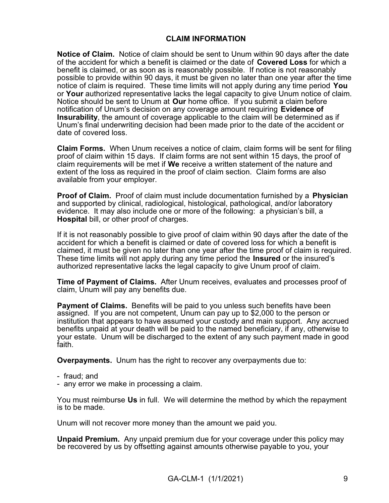## **CLAIM INFORMATION**

**Notice of Claim.** Notice of claim should be sent to Unum within 90 days after the date of the accident for which a benefit is claimed or the date of **Covered Loss** for which a benefit is claimed, or as soon as is reasonably possible. If notice is not reasonably possible to provide within 90 days, it must be given no later than one year after the time notice of claim is required. These time limits will not apply during any time period **You** or **Your** authorized representative lacks the legal capacity to give Unum notice of claim. Notice should be sent to Unum at **Our** home office. If you submit a claim before notification of Unum's decision on any coverage amount requiring **Evidence of Insurability**, the amount of coverage applicable to the claim will be determined as if Unum's final underwriting decision had been made prior to the date of the accident or date of covered loss.

**Claim Forms.** When Unum receives a notice of claim, claim forms will be sent for filing proof of claim within 15 days. If claim forms are not sent within 15 days, the proof of claim requirements will be met if **We** receive a written statement of the nature and extent of the loss as required in the proof of claim section. Claim forms are also available from your employer.

**Proof of Claim.** Proof of claim must include documentation furnished by a **Physician** and supported by clinical, radiological, histological, pathological, and/or laboratory evidence. It may also include one or more of the following: a physician's bill, a **Hospital** bill, or other proof of charges.

If it is not reasonably possible to give proof of claim within 90 days after the date of the accident for which a benefit is claimed or date of covered loss for which a benefit is claimed, it must be given no later than one year after the time proof of claim is required. These time limits will not apply during any time period the **Insured** or the insured's authorized representative lacks the legal capacity to give Unum proof of claim.

**Time of Payment of Claims.** After Unum receives, evaluates and processes proof of claim, Unum will pay any benefits due.

**Payment of Claims.** Benefits will be paid to you unless such benefits have been assigned. If you are not competent, Unum can pay up to \$2,000 to the person or institution that appears to have assumed your custody and main support. Any accrued benefits unpaid at your death will be paid to the named beneficiary, if any, otherwise to your estate. Unum will be discharged to the extent of any such payment made in good faith.

**Overpayments.** Unum has the right to recover any overpayments due to:

- fraud; and
- any error we make in processing a claim.

You must reimburse **Us** in full. We will determine the method by which the repayment is to be made.

Unum will not recover more money than the amount we paid you.

**Unpaid Premium.** Any unpaid premium due for your coverage under this policy may be recovered by us by offsetting against amounts otherwise payable to you, your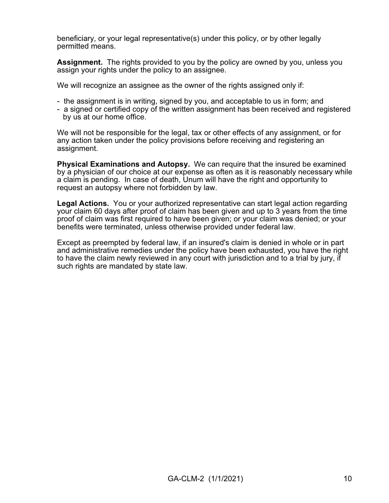beneficiary, or your legal representative(s) under this policy, or by other legally permitted means.

**Assignment.** The rights provided to you by the policy are owned by you, unless you assign your rights under the policy to an assignee.

We will recognize an assignee as the owner of the rights assigned only if:

- the assignment is in writing, signed by you, and acceptable to us in form; and
- a signed or certified copy of the written assignment has been received and registered by us at our home office.

We will not be responsible for the legal, tax or other effects of any assignment, or for any action taken under the policy provisions before receiving and registering an assignment.

**Physical Examinations and Autopsy.** We can require that the insured be examined by a physician of our choice at our expense as often as it is reasonably necessary while a claim is pending. In case of death, Unum will have the right and opportunity to request an autopsy where not forbidden by law.

**Legal Actions.** You or your authorized representative can start legal action regarding your claim 60 days after proof of claim has been given and up to 3 years from the time proof of claim was first required to have been given; or your claim was denied; or your benefits were terminated, unless otherwise provided under federal law.

Except as preempted by federal law, if an insured's claim is denied in whole or in part and administrative remedies under the policy have been exhausted, you have the right to have the claim newly reviewed in any court with jurisdiction and to a trial by jury, if such rights are mandated by state law.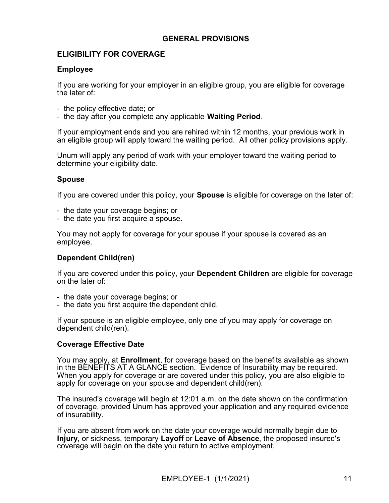## **GENERAL PROVISIONS**

## **ELIGIBILITY FOR COVERAGE**

### **Employee**

If you are working for your employer in an eligible group, you are eligible for coverage the later of:

- the policy effective date; or
- the day after you complete any applicable **Waiting Period**.

If your employment ends and you are rehired within 12 months, your previous work in an eligible group will apply toward the waiting period. All other policy provisions apply.

Unum will apply any period of work with your employer toward the waiting period to determine your eligibility date.

### **Spouse**

If you are covered under this policy, your **Spouse** is eligible for coverage on the later of:

- the date your coverage begins; or
- the date you first acquire a spouse.

You may not apply for coverage for your spouse if your spouse is covered as an employee.

### **Dependent Child(ren)**

If you are covered under this policy, your **Dependent Children** are eligible for coverage on the later of:

- the date your coverage begins; or
- the date you first acquire the dependent child.

If your spouse is an eligible employee, only one of you may apply for coverage on dependent child(ren).

## **Coverage Effective Date**

You may apply, at **Enrollment**, for coverage based on the benefits available as shown in the BENEFITS AT A GLANCE section. Evidence of Insurability may be required. When you apply for coverage or are covered under this policy, you are also eligible to apply for coverage on your spouse and dependent child(ren).

The insured's coverage will begin at 12:01 a.m. on the date shown on the confirmation of coverage, provided Unum has approved your application and any required evidence of insurability.

If you are absent from work on the date your coverage would normally begin due to **Injury**, or sickness, temporary **Layoff** or **Leave of Absence**, the proposed insured's coverage will begin on the date you return to active employment.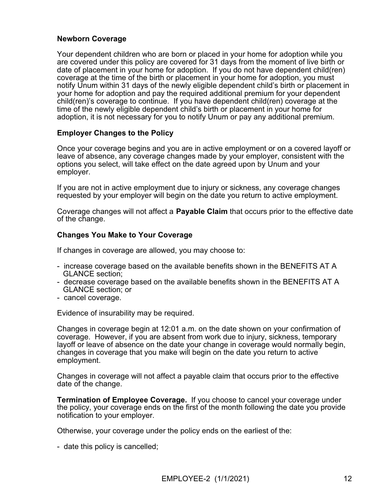## **Newborn Coverage**

Your dependent children who are born or placed in your home for adoption while you are covered under this policy are covered for 31 days from the moment of live birth or date of placement in your home for adoption. If you do not have dependent child(ren) coverage at the time of the birth or placement in your home for adoption, you must notify Unum within 31 days of the newly eligible dependent child's birth or placement in your home for adoption and pay the required additional premium for your dependent child(ren)'s coverage to continue. If you have dependent child(ren) coverage at the time of the newly eligible dependent child's birth or placement in your home for adoption, it is not necessary for you to notify Unum or pay any additional premium.

## **Employer Changes to the Policy**

Once your coverage begins and you are in active employment or on a covered layoff or leave of absence, any coverage changes made by your employer, consistent with the options you select, will take effect on the date agreed upon by Unum and your employer.

If you are not in active employment due to injury or sickness, any coverage changes requested by your employer will begin on the date you return to active employment.

Coverage changes will not affect a **Payable Claim** that occurs prior to the effective date of the change.

### **Changes You Make to Your Coverage**

If changes in coverage are allowed, you may choose to:

- increase coverage based on the available benefits shown in the BENEFITS AT A GLANCE section;
- decrease coverage based on the available benefits shown in the BENEFITS AT A GLANCE section; or
- cancel coverage.

Evidence of insurability may be required.

Changes in coverage begin at 12:01 a.m. on the date shown on your confirmation of coverage. However, if you are absent from work due to injury, sickness, temporary layoff or leave of absence on the date your change in coverage would normally begin, changes in coverage that you make will begin on the date you return to active employment.

Changes in coverage will not affect a payable claim that occurs prior to the effective date of the change.

**Termination of Employee Coverage.** If you choose to cancel your coverage under the policy, your coverage ends on the first of the month following the date you provide notification to your employer.

Otherwise, your coverage under the policy ends on the earliest of the:

- date this policy is cancelled;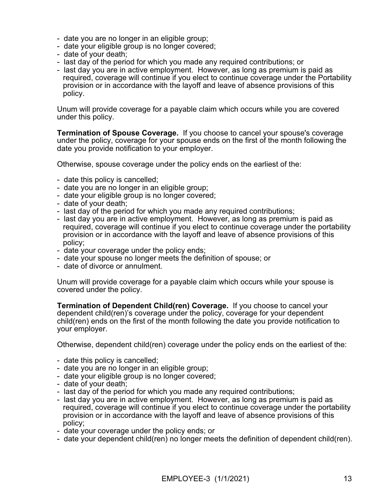- date you are no longer in an eligible group;
- date your eligible group is no longer covered;
- date of your death;
- last day of the period for which you made any required contributions; or
- last day you are in active employment. However, as long as premium is paid as required, coverage will continue if you elect to continue coverage under the Portability provision or in accordance with the layoff and leave of absence provisions of this policy.

Unum will provide coverage for a payable claim which occurs while you are covered under this policy.

**Termination of Spouse Coverage.** If you choose to cancel your spouse's coverage under the policy, coverage for your spouse ends on the first of the month following the date you provide notification to your employer.

Otherwise, spouse coverage under the policy ends on the earliest of the:

- date this policy is cancelled;
- date you are no longer in an eligible group;
- date your eligible group is no longer covered;
- date of your death;
- last day of the period for which you made any required contributions;
- last day you are in active employment. However, as long as premium is paid as required, coverage will continue if you elect to continue coverage under the portability provision or in accordance with the layoff and leave of absence provisions of this policy;
- date your coverage under the policy ends;
- date your spouse no longer meets the definition of spouse; or
- date of divorce or annulment.

Unum will provide coverage for a payable claim which occurs while your spouse is covered under the policy.

**Termination of Dependent Child(ren) Coverage.** If you choose to cancel your dependent child(ren)'s coverage under the policy, coverage for your dependent child(ren) ends on the first of the month following the date you provide notification to your employer.

Otherwise, dependent child(ren) coverage under the policy ends on the earliest of the:

- date this policy is cancelled;
- date you are no longer in an eligible group;
- date your eligible group is no longer covered;
- date of your death;
- last day of the period for which you made any required contributions;
- last day you are in active employment. However, as long as premium is paid as required, coverage will continue if you elect to continue coverage under the portability provision or in accordance with the layoff and leave of absence provisions of this policy;
- date your coverage under the policy ends; or
- date your dependent child(ren) no longer meets the definition of dependent child(ren).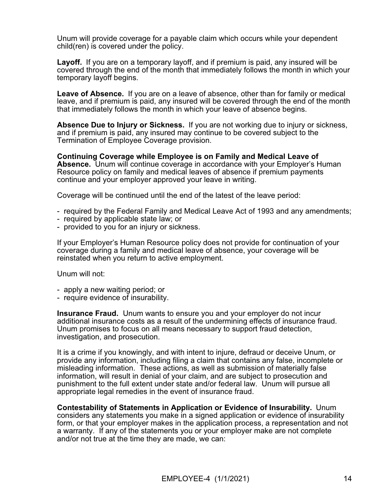Unum will provide coverage for a payable claim which occurs while your dependent child(ren) is covered under the policy.

**Layoff.** If you are on a temporary layoff, and if premium is paid, any insured will be covered through the end of the month that immediately follows the month in which your temporary layoff begins.

**Leave of Absence.** If you are on a leave of absence, other than for family or medical leave, and if premium is paid, any insured will be covered through the end of the month that immediately follows the month in which your leave of absence begins.

**Absence Due to Injury or Sickness.** If you are not working due to injury or sickness, and if premium is paid, any insured may continue to be covered subject to the Termination of Employee Coverage provision.

**Continuing Coverage while Employee is on Family and Medical Leave of Absence.** Unum will continue coverage in accordance with your Employer's Human Resource policy on family and medical leaves of absence if premium payments continue and your employer approved your leave in writing.

Coverage will be continued until the end of the latest of the leave period:

- required by the Federal Family and Medical Leave Act of 1993 and any amendments;
- required by applicable state law; or
- provided to you for an injury or sickness.

If your Employer's Human Resource policy does not provide for continuation of your coverage during a family and medical leave of absence, your coverage will be reinstated when you return to active employment.

Unum will not:

- apply a new waiting period; or
- require evidence of insurability.

**Insurance Fraud.** Unum wants to ensure you and your employer do not incur additional insurance costs as a result of the undermining effects of insurance fraud. Unum promises to focus on all means necessary to support fraud detection, investigation, and prosecution.

It is a crime if you knowingly, and with intent to injure, defraud or deceive Unum, or provide any information, including filing a claim that contains any false, incomplete or misleading information. These actions, as well as submission of materially false information, will result in denial of your claim, and are subject to prosecution and punishment to the full extent under state and/or federal law. Unum will pursue all appropriate legal remedies in the event of insurance fraud.

**Contestability of Statements in Application or Evidence of Insurability.** Unum considers any statements you make in a signed application or evidence of insurability form, or that your employer makes in the application process, a representation and not a warranty. If any of the statements you or your employer make are not complete and/or not true at the time they are made, we can: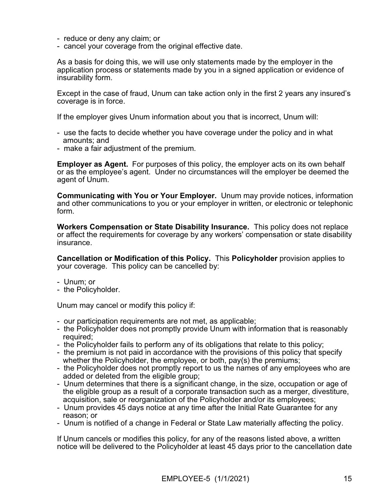- reduce or deny any claim; or
- cancel your coverage from the original effective date.

As a basis for doing this, we will use only statements made by the employer in the application process or statements made by you in a signed application or evidence of insurability form.

Except in the case of fraud, Unum can take action only in the first 2 years any insured's coverage is in force.

If the employer gives Unum information about you that is incorrect, Unum will:

- use the facts to decide whether you have coverage under the policy and in what amounts; and
- make a fair adjustment of the premium.

**Employer as Agent.** For purposes of this policy, the employer acts on its own behalf or as the employee's agent. Under no circumstances will the employer be deemed the agent of Unum.

**Communicating with You or Your Employer.** Unum may provide notices, information and other communications to you or your employer in written, or electronic or telephonic form.

**Workers Compensation or State Disability Insurance.** This policy does not replace or affect the requirements for coverage by any workers' compensation or state disability insurance.

**Cancellation or Modification of this Policy.** This **Policyholder** provision applies to your coverage. This policy can be cancelled by:

- Unum; or
- the Policyholder.

Unum may cancel or modify this policy if:

- our participation requirements are not met, as applicable;
- the Policyholder does not promptly provide Unum with information that is reasonably required:
- the Policyholder fails to perform any of its obligations that relate to this policy;
- the premium is not paid in accordance with the provisions of this policy that specify whether the Policyholder, the employee, or both, pay(s) the premiums;
- the Policyholder does not promptly report to us the names of any employees who are added or deleted from the eligible group;
- Unum determines that there is a significant change, in the size, occupation or age of the eligible group as a result of a corporate transaction such as a merger, divestiture, acquisition, sale or reorganization of the Policyholder and/or its employees;
- Unum provides 45 days notice at any time after the Initial Rate Guarantee for any reason; or
- Unum is notified of a change in Federal or State Law materially affecting the policy.

If Unum cancels or modifies this policy, for any of the reasons listed above, a written notice will be delivered to the Policyholder at least 45 days prior to the cancellation date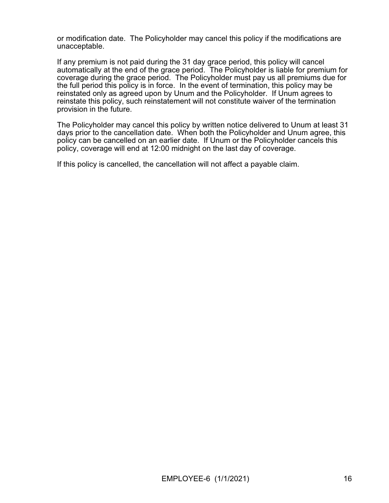or modification date. The Policyholder may cancel this policy if the modifications are unacceptable.

If any premium is not paid during the 31 day grace period, this policy will cancel automatically at the end of the grace period. The Policyholder is liable for premium for coverage during the grace period. The Policyholder must pay us all premiums due for the full period this policy is in force. In the event of termination, this policy may be reinstated only as agreed upon by Unum and the Policyholder. If Unum agrees to reinstate this policy, such reinstatement will not constitute waiver of the termination provision in the future.

The Policyholder may cancel this policy by written notice delivered to Unum at least 31 days prior to the cancellation date. When both the Policyholder and Unum agree, this policy can be cancelled on an earlier date. If Unum or the Policyholder cancels this policy, coverage will end at 12:00 midnight on the last day of coverage.

If this policy is cancelled, the cancellation will not affect a payable claim.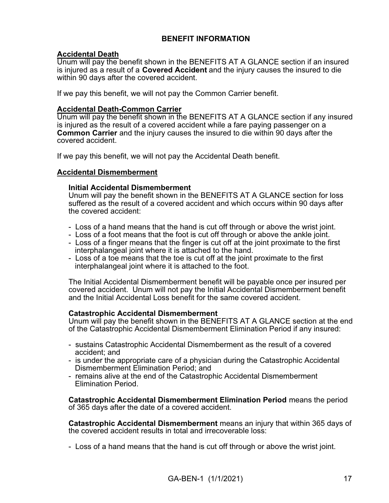## **BENEFIT INFORMATION**

### **Accidental Death**

Unum will pay the benefit shown in the BENEFITS AT A GLANCE section if an insured is injured as a result of a **Covered Accident** and the injury causes the insured to die within 90 days after the covered accident.

If we pay this benefit, we will not pay the Common Carrier benefit.

### **Accidental Death-Common Carrier**

Unum will pay the benefit shown in the BENEFITS AT A GLANCE section if any insured is injured as the result of a covered accident while a fare paying passenger on a **Common Carrier** and the injury causes the insured to die within 90 days after the covered accident.

If we pay this benefit, we will not pay the Accidental Death benefit.

### **Accidental Dismemberment**

### **Initial Accidental Dismemberment**

Unum will pay the benefit shown in the BENEFITS AT A GLANCE section for loss suffered as the result of a covered accident and which occurs within 90 days after the covered accident:

- Loss of a hand means that the hand is cut off through or above the wrist joint.
- Loss of a foot means that the foot is cut off through or above the ankle joint.
- Loss of a finger means that the finger is cut off at the joint proximate to the first interphalangeal joint where it is attached to the hand.
- Loss of a toe means that the toe is cut off at the joint proximate to the first interphalangeal joint where it is attached to the foot.

The Initial Accidental Dismemberment benefit will be payable once per insured per covered accident. Unum will not pay the Initial Accidental Dismemberment benefit and the Initial Accidental Loss benefit for the same covered accident.

### **Catastrophic Accidental Dismemberment**

Unum will pay the benefit shown in the BENEFITS AT A GLANCE section at the end of the Catastrophic Accidental Dismemberment Elimination Period if any insured:

- sustains Catastrophic Accidental Dismemberment as the result of a covered accident; and
- is under the appropriate care of a physician during the Catastrophic Accidental Dismemberment Elimination Period; and
- remains alive at the end of the Catastrophic Accidental Dismemberment Elimination Period.

**Catastrophic Accidental Dismemberment Elimination Period** means the period of 365 days after the date of a covered accident.

**Catastrophic Accidental Dismemberment** means an injury that within 365 days of the covered accident results in total and irrecoverable loss:

- Loss of a hand means that the hand is cut off through or above the wrist joint.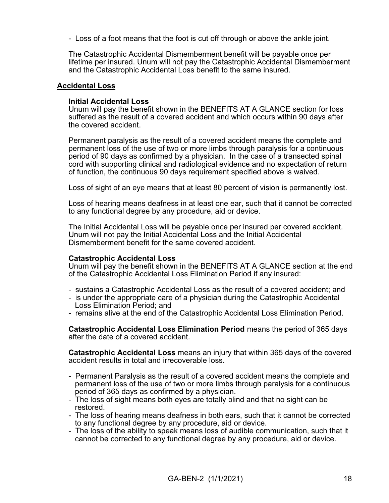- Loss of a foot means that the foot is cut off through or above the ankle joint.

The Catastrophic Accidental Dismemberment benefit will be payable once per lifetime per insured. Unum will not pay the Catastrophic Accidental Dismemberment and the Catastrophic Accidental Loss benefit to the same insured.

### **Accidental Loss**

### **Initial Accidental Loss**

Unum will pay the benefit shown in the BENEFITS AT A GLANCE section for loss suffered as the result of a covered accident and which occurs within 90 days after the covered accident.

Permanent paralysis as the result of a covered accident means the complete and permanent loss of the use of two or more limbs through paralysis for a continuous period of 90 days as confirmed by a physician. In the case of a transected spinal cord with supporting clinical and radiological evidence and no expectation of return of function, the continuous 90 days requirement specified above is waived.

Loss of sight of an eye means that at least 80 percent of vision is permanently lost.

Loss of hearing means deafness in at least one ear, such that it cannot be corrected to any functional degree by any procedure, aid or device.

The Initial Accidental Loss will be payable once per insured per covered accident. Unum will not pay the Initial Accidental Loss and the Initial Accidental Dismemberment benefit for the same covered accident.

### **Catastrophic Accidental Loss**

Unum will pay the benefit shown in the BENEFITS AT A GLANCE section at the end of the Catastrophic Accidental Loss Elimination Period if any insured:

- sustains a Catastrophic Accidental Loss as the result of a covered accident; and
- is under the appropriate care of a physician during the Catastrophic Accidental Loss Elimination Period; and
- remains alive at the end of the Catastrophic Accidental Loss Elimination Period.

**Catastrophic Accidental Loss Elimination Period** means the period of 365 days after the date of a covered accident.

**Catastrophic Accidental Loss** means an injury that within 365 days of the covered accident results in total and irrecoverable loss.

- Permanent Paralysis as the result of a covered accident means the complete and permanent loss of the use of two or more limbs through paralysis for a continuous period of 365 days as confirmed by a physician.
- The loss of sight means both eyes are totally blind and that no sight can be restored.
- The loss of hearing means deafness in both ears, such that it cannot be corrected to any functional degree by any procedure, aid or device.
- The loss of the ability to speak means loss of audible communication, such that it cannot be corrected to any functional degree by any procedure, aid or device.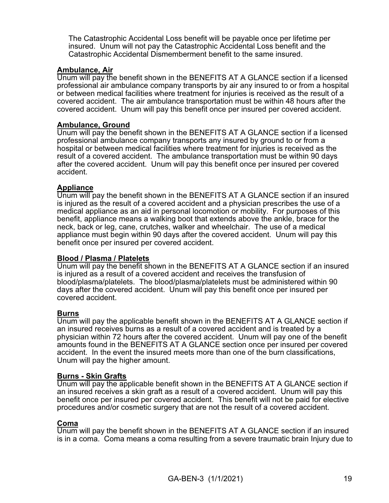The Catastrophic Accidental Loss benefit will be payable once per lifetime per insured. Unum will not pay the Catastrophic Accidental Loss benefit and the Catastrophic Accidental Dismemberment benefit to the same insured.

### **Ambulance, Air**

Unum will pay the benefit shown in the BENEFITS AT A GLANCE section if a licensed professional air ambulance company transports by air any insured to or from a hospital or between medical facilities where treatment for injuries is received as the result of a covered accident. The air ambulance transportation must be within 48 hours after the covered accident. Unum will pay this benefit once per insured per covered accident.

### **Ambulance, Ground**

Unum will pay the benefit shown in the BENEFITS AT A GLANCE section if a licensed professional ambulance company transports any insured by ground to or from a hospital or between medical facilities where treatment for injuries is received as the result of a covered accident. The ambulance transportation must be within 90 days after the covered accident. Unum will pay this benefit once per insured per covered accident.

### **Appliance**

Unum will pay the benefit shown in the BENEFITS AT A GLANCE section if an insured is injured as the result of a covered accident and a physician prescribes the use of a medical appliance as an aid in personal locomotion or mobility. For purposes of this benefit, appliance means a walking boot that extends above the ankle, brace for the neck, back or leg, cane, crutches, walker and wheelchair. The use of a medical appliance must begin within 90 days after the covered accident. Unum will pay this benefit once per insured per covered accident.

### **Blood / Plasma / Platelets**

Unum will pay the benefit shown in the BENEFITS AT A GLANCE section if an insured is injured as a result of a covered accident and receives the transfusion of blood/plasma/platelets. The blood/plasma/platelets must be administered within 90 days after the covered accident. Unum will pay this benefit once per insured per covered accident.

### **Burns**

Unum will pay the applicable benefit shown in the BENEFITS AT A GLANCE section if an insured receives burns as a result of a covered accident and is treated by a physician within 72 hours after the covered accident. Unum will pay one of the benefit amounts found in the BENEFITS AT A GLANCE section once per insured per covered accident. In the event the insured meets more than one of the burn classifications, Unum will pay the higher amount.

### **Burns - Skin Grafts**

Unum will pay the applicable benefit shown in the BENEFITS AT A GLANCE section if an insured receives a skin graft as a result of a covered accident. Unum will pay this benefit once per insured per covered accident. This benefit will not be paid for elective procedures and/or cosmetic surgery that are not the result of a covered accident.

### **Coma**

Unum will pay the benefit shown in the BENEFITS AT A GLANCE section if an insured is in a coma. Coma means a coma resulting from a severe traumatic brain Injury due to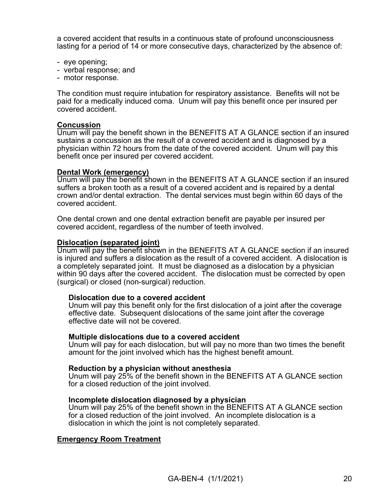a covered accident that results in a continuous state of profound unconsciousness lasting for a period of 14 or more consecutive days, characterized by the absence of:

- eye opening;
- verbal response; and
- motor response.

The condition must require intubation for respiratory assistance. Benefits will not be paid for a medically induced coma. Unum will pay this benefit once per insured per covered accident.

### **Concussion**

Unum will pay the benefit shown in the BENEFITS AT A GLANCE section if an insured sustains a concussion as the result of a covered accident and is diagnosed by a physician within 72 hours from the date of the covered accident. Unum will pay this benefit once per insured per covered accident.

### **Dental Work (emergency)**

Unum will pay the benefit shown in the BENEFITS AT A GLANCE section if an insured suffers a broken tooth as a result of a covered accident and is repaired by a dental crown and/or dental extraction. The dental services must begin within 60 days of the covered accident.

One dental crown and one dental extraction benefit are payable per insured per covered accident, regardless of the number of teeth involved.

### **Dislocation (separated joint)**

Unum will pay the benefit shown in the BENEFITS AT A GLANCE section if an insured is injured and suffers a dislocation as the result of a covered accident. A dislocation is a completely separated joint. It must be diagnosed as a dislocation by a physician within 90 days after the covered accident. The dislocation must be corrected by open (surgical) or closed (non-surgical) reduction.

#### **Dislocation due to a covered accident**

Unum will pay this benefit only for the first dislocation of a joint after the coverage effective date. Subsequent dislocations of the same joint after the coverage effective date will not be covered.

#### **Multiple dislocations due to a covered accident**

Unum will pay for each dislocation, but will pay no more than two times the benefit amount for the joint involved which has the highest benefit amount.

#### **Reduction by a physician without anesthesia**

Unum will pay 25% of the benefit shown in the BENEFITS AT A GLANCE section for a closed reduction of the joint involved.

#### **Incomplete dislocation diagnosed by a physician**

Unum will pay 25% of the benefit shown in the BENEFITS AT A GLANCE section for a closed reduction of the joint involved. An incomplete dislocation is a dislocation in which the joint is not completely separated.

### **Emergency Room Treatment**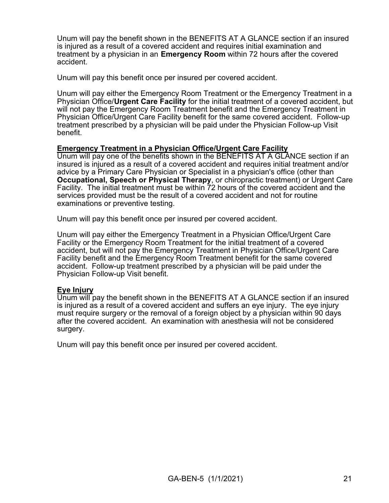Unum will pay the benefit shown in the BENEFITS AT A GLANCE section if an insured is injured as a result of a covered accident and requires initial examination and treatment by a physician in an **Emergency Room** within 72 hours after the covered accident.

Unum will pay this benefit once per insured per covered accident.

Unum will pay either the Emergency Room Treatment or the Emergency Treatment in a Physician Office/**Urgent Care Facility** for the initial treatment of a covered accident, but will not pay the Emergency Room Treatment benefit and the Emergency Treatment in Physician Office/Urgent Care Facility benefit for the same covered accident. Follow-up treatment prescribed by a physician will be paid under the Physician Follow-up Visit benefit.

## **Emergency Treatment in a Physician Office/Urgent Care Facility**

Unum will pay one of the benefits shown in the BENEFITS AT A GLANCE section if an insured is injured as a result of a covered accident and requires initial treatment and/or advice by a Primary Care Physician or Specialist in a physician's office (other than **Occupational, Speech or Physical Therapy**, or chiropractic treatment) or Urgent Care Facility. The initial treatment must be within 72 hours of the covered accident and the services provided must be the result of a covered accident and not for routine examinations or preventive testing.

Unum will pay this benefit once per insured per covered accident.

Unum will pay either the Emergency Treatment in a Physician Office/Urgent Care Facility or the Emergency Room Treatment for the initial treatment of a covered accident, but will not pay the Emergency Treatment in Physician Office/Urgent Care Facility benefit and the Emergency Room Treatment benefit for the same covered accident. Follow-up treatment prescribed by a physician will be paid under the Physician Follow-up Visit benefit.

## **Eye Injury**

Unum will pay the benefit shown in the BENEFITS AT A GLANCE section if an insured is injured as a result of a covered accident and suffers an eye injury. The eye injury must require surgery or the removal of a foreign object by a physician within 90 days after the covered accident. An examination with anesthesia will not be considered surgery.

Unum will pay this benefit once per insured per covered accident.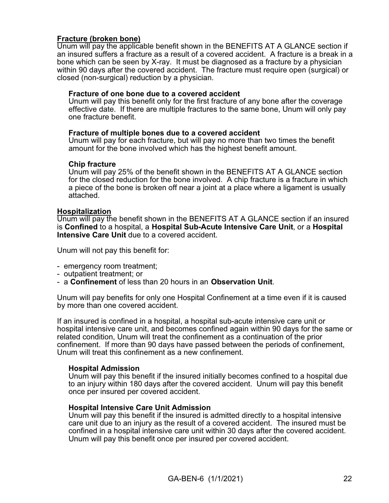## **Fracture (broken bone)**

Unum will pay the applicable benefit shown in the BENEFITS AT A GLANCE section if an insured suffers a fracture as a result of a covered accident. A fracture is a break in a bone which can be seen by X-ray. It must be diagnosed as a fracture by a physician within 90 days after the covered accident. The fracture must require open (surgical) or closed (non-surgical) reduction by a physician.

### **Fracture of one bone due to a covered accident**

Unum will pay this benefit only for the first fracture of any bone after the coverage effective date. If there are multiple fractures to the same bone, Unum will only pay one fracture benefit.

### **Fracture of multiple bones due to a covered accident**

Unum will pay for each fracture, but will pay no more than two times the benefit amount for the bone involved which has the highest benefit amount.

### **Chip fracture**

Unum will pay 25% of the benefit shown in the BENEFITS AT A GLANCE section for the closed reduction for the bone involved. A chip fracture is a fracture in which a piece of the bone is broken off near a joint at a place where a ligament is usually attached.

### **Hospitalization**

Unum will pay the benefit shown in the BENEFITS AT A GLANCE section if an insured is **Confined** to a hospital, a **Hospital Sub-Acute Intensive Care Unit**, or a **Hospital Intensive Care Unit** due to a covered accident.

Unum will not pay this benefit for:

- emergency room treatment;
- outpatient treatment; or
- a **Confinement** of less than 20 hours in an **Observation Unit**.

Unum will pay benefits for only one Hospital Confinement at a time even if it is caused by more than one covered accident.

If an insured is confined in a hospital, a hospital sub-acute intensive care unit or hospital intensive care unit, and becomes confined again within 90 days for the same or related condition, Unum will treat the confinement as a continuation of the prior confinement. If more than 90 days have passed between the periods of confinement, Unum will treat this confinement as a new confinement.

#### **Hospital Admission**

Unum will pay this benefit if the insured initially becomes confined to a hospital due to an injury within 180 days after the covered accident. Unum will pay this benefit once per insured per covered accident.

### **Hospital Intensive Care Unit Admission**

Unum will pay this benefit if the insured is admitted directly to a hospital intensive care unit due to an injury as the result of a covered accident. The insured must be confined in a hospital intensive care unit within 30 days after the covered accident. Unum will pay this benefit once per insured per covered accident.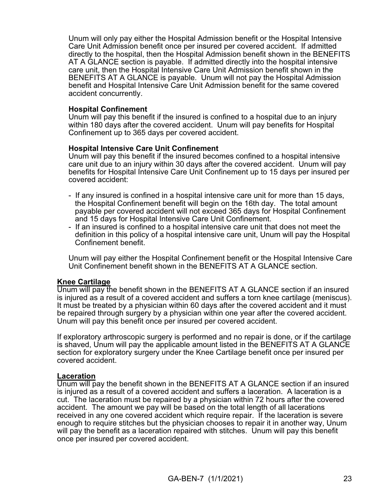Unum will only pay either the Hospital Admission benefit or the Hospital Intensive Care Unit Admission benefit once per insured per covered accident. If admitted directly to the hospital, then the Hospital Admission benefit shown in the BENEFITS AT A GLANCE section is payable. If admitted directly into the hospital intensive care unit, then the Hospital Intensive Care Unit Admission benefit shown in the BENEFITS AT A GLANCE is payable. Unum will not pay the Hospital Admission benefit and Hospital Intensive Care Unit Admission benefit for the same covered accident concurrently.

### **Hospital Confinement**

Unum will pay this benefit if the insured is confined to a hospital due to an injury within 180 days after the covered accident. Unum will pay benefits for Hospital Confinement up to 365 days per covered accident.

### **Hospital Intensive Care Unit Confinement**

Unum will pay this benefit if the insured becomes confined to a hospital intensive care unit due to an injury within 30 days after the covered accident. Unum will pay benefits for Hospital Intensive Care Unit Confinement up to 15 days per insured per covered accident:

- If any insured is confined in a hospital intensive care unit for more than 15 days, the Hospital Confinement benefit will begin on the 16th day. The total amount payable per covered accident will not exceed 365 days for Hospital Confinement and 15 days for Hospital Intensive Care Unit Confinement.
- If an insured is confined to a hospital intensive care unit that does not meet the definition in this policy of a hospital intensive care unit, Unum will pay the Hospital Confinement benefit.

Unum will pay either the Hospital Confinement benefit or the Hospital Intensive Care Unit Confinement benefit shown in the BENEFITS AT A GLANCE section.

## **Knee Cartilage**

Unum will pay the benefit shown in the BENEFITS AT A GLANCE section if an insured is injured as a result of a covered accident and suffers a torn knee cartilage (meniscus). It must be treated by a physician within 60 days after the covered accident and it must be repaired through surgery by a physician within one year after the covered accident. Unum will pay this benefit once per insured per covered accident.

If exploratory arthroscopic surgery is performed and no repair is done, or if the cartilage is shaved, Unum will pay the applicable amount listed in the BENEFITS AT A GLANCE section for exploratory surgery under the Knee Cartilage benefit once per insured per covered accident.

## **Laceration**

Unum will pay the benefit shown in the BENEFITS AT A GLANCE section if an insured is injured as a result of a covered accident and suffers a laceration. A laceration is a cut. The laceration must be repaired by a physician within 72 hours after the covered accident. The amount we pay will be based on the total length of all lacerations received in any one covered accident which require repair. If the laceration is severe enough to require stitches but the physician chooses to repair it in another way, Unum will pay the benefit as a laceration repaired with stitches. Unum will pay this benefit once per insured per covered accident.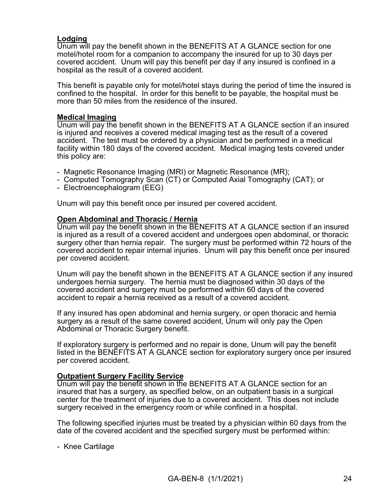## **Lodging**

Unum will pay the benefit shown in the BENEFITS AT A GLANCE section for one motel/hotel room for a companion to accompany the insured for up to 30 days per covered accident. Unum will pay this benefit per day if any insured is confined in a hospital as the result of a covered accident.

This benefit is payable only for motel/hotel stays during the period of time the insured is confined to the hospital. In order for this benefit to be payable, the hospital must be more than 50 miles from the residence of the insured.

### **Medical Imaging**

Unum will pay the benefit shown in the BENEFITS AT A GLANCE section if an insured is injured and receives a covered medical imaging test as the result of a covered accident. The test must be ordered by a physician and be performed in a medical facility within 180 days of the covered accident. Medical imaging tests covered under this policy are:

- Magnetic Resonance Imaging (MRI) or Magnetic Resonance (MR);
- Computed Tomography Scan (CT) or Computed Axial Tomography (CAT); or
- Electroencephalogram (EEG)

Unum will pay this benefit once per insured per covered accident.

### **Open Abdominal and Thoracic / Hernia**

Unum will pay the benefit shown in the BENEFITS AT A GLANCE section if an insured is injured as a result of a covered accident and undergoes open abdominal, or thoracic surgery other than hernia repair. The surgery must be performed within 72 hours of the covered accident to repair internal injuries. Unum will pay this benefit once per insured per covered accident.

Unum will pay the benefit shown in the BENEFITS AT A GLANCE section if any insured undergoes hernia surgery. The hernia must be diagnosed within 30 days of the covered accident and surgery must be performed within 60 days of the covered accident to repair a hernia received as a result of a covered accident.

If any insured has open abdominal and hernia surgery, or open thoracic and hernia surgery as a result of the same covered accident, Unum will only pay the Open Abdominal or Thoracic Surgery benefit.

If exploratory surgery is performed and no repair is done, Unum will pay the benefit listed in the BENEFITS AT A GLANCE section for exploratory surgery once per insured per covered accident.

### **Outpatient Surgery Facility Service**

Unum will pay the benefit shown in the BENEFITS AT A GLANCE section for an insured that has a surgery, as specified below, on an outpatient basis in a surgical center for the treatment of injuries due to a covered accident. This does not include surgery received in the emergency room or while confined in a hospital.

The following specified injuries must be treated by a physician within 60 days from the date of the covered accident and the specified surgery must be performed within:

- Knee Cartilage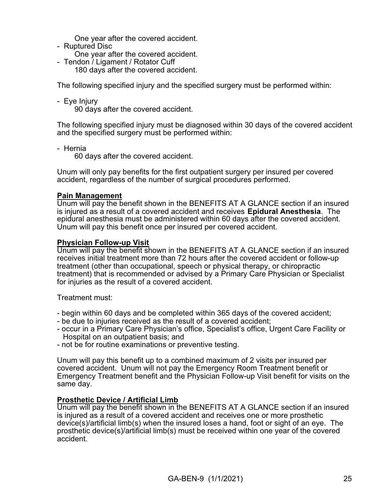One year after the covered accident.

- Ruptured Disc One year after the covered accident.
- Tendon / Ligament / Rotator Cuff 180 days after the covered accident.

The following specified injury and the specified surgery must be performed within:

- Eye Injury 90 days after the covered accident.

The following specified injury must be diagnosed within 30 days of the covered accident and the specified surgery must be performed within:

- Hernia

60 days after the covered accident.

Unum will only pay benefits for the first outpatient surgery per insured per covered accident, regardless of the number of surgical procedures performed.

## **Pain Management**

Unum will pay the benefit shown in the BENEFITS AT A GLANCE section if an insured is injured as a result of a covered accident and receives **Epidural Anesthesia**. The epidural anesthesia must be administered within 60 days after the covered accident. Unum will pay this benefit once per insured per covered accident.

### **Physician Follow-up Visit**

Unum will pay the benefit shown in the BENEFITS AT A GLANCE section if an insured receives initial treatment more than 72 hours after the covered accident or follow-up treatment (other than occupational, speech or physical therapy, or chiropractic treatment) that is recommended or advised by a Primary Care Physician or Specialist for injuries as the result of a covered accident.

Treatment must:

- begin within 60 days and be completed within 365 days of the covered accident;
- be due to injuries received as the result of a covered accident;
- occur in a Primary Care Physician's office, Specialist's office, Urgent Care Facility or Hospital on an outpatient basis; and
- not be for routine examinations or preventive testing.

Unum will pay this benefit up to a combined maximum of 2 visits per insured per covered accident. Unum will not pay the Emergency Room Treatment benefit or Emergency Treatment benefit and the Physician Follow-up Visit benefit for visits on the same day.

## **Prosthetic Device / Artificial Limb**

Unum will pay the benefit shown in the BENEFITS AT A GLANCE section if an insured is injured as a result of a covered accident and receives one or more prosthetic device(s)/artificial limb(s) when the insured loses a hand, foot or sight of an eye. The prosthetic device(s)/artificial limb(s) must be received within one year of the covered accident.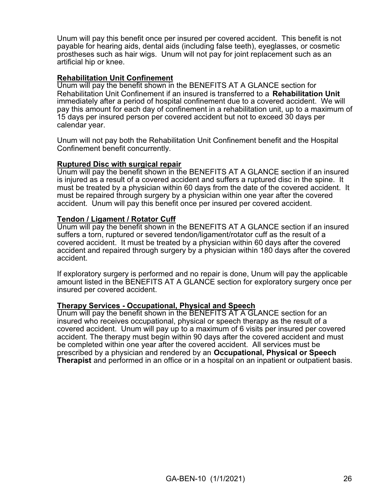Unum will pay this benefit once per insured per covered accident. This benefit is not payable for hearing aids, dental aids (including false teeth), eyeglasses, or cosmetic prostheses such as hair wigs. Unum will not pay for joint replacement such as an artificial hip or knee.

### **Rehabilitation Unit Confinement**

Unum will pay the benefit shown in the BENEFITS AT A GLANCE section for Rehabilitation Unit Confinement if an insured is transferred to a **Rehabilitation Unit** immediately after a period of hospital confinement due to a covered accident. We will pay this amount for each day of confinement in a rehabilitation unit, up to a maximum of 15 days per insured person per covered accident but not to exceed 30 days per calendar year.

Unum will not pay both the Rehabilitation Unit Confinement benefit and the Hospital Confinement benefit concurrently.

### **Ruptured Disc with surgical repair**

Unum will pay the benefit shown in the BENEFITS AT A GLANCE section if an insured is injured as a result of a covered accident and suffers a ruptured disc in the spine. It must be treated by a physician within 60 days from the date of the covered accident. It must be repaired through surgery by a physician within one year after the covered accident. Unum will pay this benefit once per insured per covered accident.

### **Tendon / Ligament / Rotator Cuff**

Unum will pay the benefit shown in the BENEFITS AT A GLANCE section if an insured suffers a torn, ruptured or severed tendon/ligament/rotator cuff as the result of a covered accident. It must be treated by a physician within 60 days after the covered accident and repaired through surgery by a physician within 180 days after the covered accident.

If exploratory surgery is performed and no repair is done, Unum will pay the applicable amount listed in the BENEFITS AT A GLANCE section for exploratory surgery once per insured per covered accident.

### **Therapy Services - Occupational, Physical and Speech**

Unum will pay the benefit shown in the BENEFITS AT A GLANCE section for an insured who receives occupational, physical or speech therapy as the result of a covered accident. Unum will pay up to a maximum of 6 visits per insured per covered accident. The therapy must begin within 90 days after the covered accident and must be completed within one year after the covered accident. All services must be prescribed by a physician and rendered by an **Occupational, Physical or Speech Therapist** and performed in an office or in a hospital on an inpatient or outpatient basis.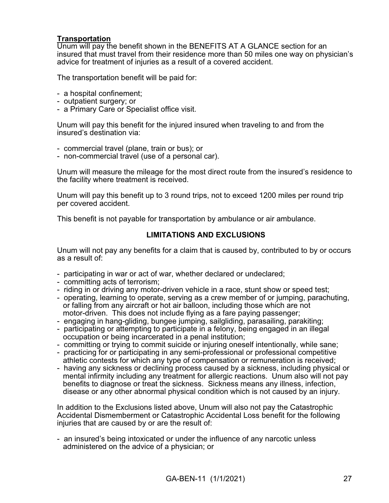## **Transportation**

Unum will pay the benefit shown in the BENEFITS AT A GLANCE section for an insured that must travel from their residence more than 50 miles one way on physician's advice for treatment of injuries as a result of a covered accident.

The transportation benefit will be paid for:

- a hospital confinement;
- outpatient surgery; or
- a Primary Care or Specialist office visit.

Unum will pay this benefit for the injured insured when traveling to and from the insured's destination via:

- commercial travel (plane, train or bus); or
- non-commercial travel (use of a personal car).

Unum will measure the mileage for the most direct route from the insured's residence to the facility where treatment is received.

Unum will pay this benefit up to 3 round trips, not to exceed 1200 miles per round trip per covered accident.

This benefit is not payable for transportation by ambulance or air ambulance.

## **LIMITATIONS AND EXCLUSIONS**

Unum will not pay any benefits for a claim that is caused by, contributed to by or occurs as a result of:

- participating in war or act of war, whether declared or undeclared;
- committing acts of terrorism;
- riding in or driving any motor-driven vehicle in a race, stunt show or speed test;
- operating, learning to operate, serving as a crew member of or jumping, parachuting, or falling from any aircraft or hot air balloon, including those which are not motor-driven. This does not include flying as a fare paying passenger;
- engaging in hang-gliding, bungee jumping, sailgliding, parasailing, parakiting;
- participating or attempting to participate in a felony, being engaged in an illegal occupation or being incarcerated in a penal institution;
- committing or trying to commit suicide or injuring oneself intentionally, while sane;
- practicing for or participating in any semi-professional or professional competitive athletic contests for which any type of compensation or remuneration is received;
- having any sickness or declining process caused by a sickness, including physical or mental infirmity including any treatment for allergic reactions. Unum also will not pay benefits to diagnose or treat the sickness. Sickness means any illness, infection, disease or any other abnormal physical condition which is not caused by an injury.

In addition to the Exclusions listed above, Unum will also not pay the Catastrophic Accidental Dismemberment or Catastrophic Accidental Loss benefit for the following injuries that are caused by or are the result of:

- an insured's being intoxicated or under the influence of any narcotic unless administered on the advice of a physician; or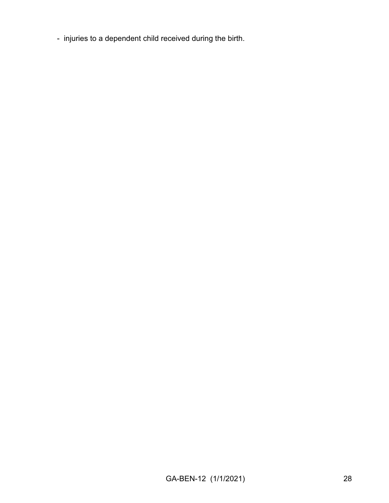- injuries to a dependent child received during the birth.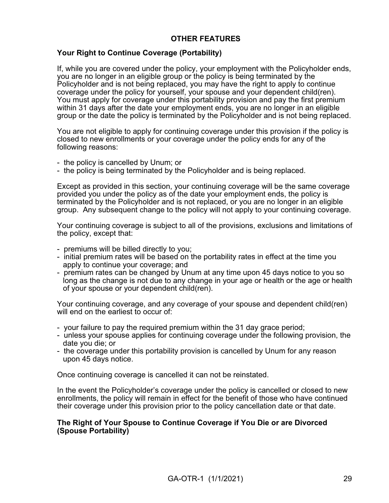## **OTHER FEATURES**

### **Your Right to Continue Coverage (Portability)**

If, while you are covered under the policy, your employment with the Policyholder ends, you are no longer in an eligible group or the policy is being terminated by the Policyholder and is not being replaced, you may have the right to apply to continue coverage under the policy for yourself, your spouse and your dependent child(ren). You must apply for coverage under this portability provision and pay the first premium within 31 days after the date your employment ends, you are no longer in an eligible group or the date the policy is terminated by the Policyholder and is not being replaced.

You are not eligible to apply for continuing coverage under this provision if the policy is closed to new enrollments or your coverage under the policy ends for any of the following reasons:

- the policy is cancelled by Unum; or
- the policy is being terminated by the Policyholder and is being replaced.

Except as provided in this section, your continuing coverage will be the same coverage provided you under the policy as of the date your employment ends, the policy is terminated by the Policyholder and is not replaced, or you are no longer in an eligible group. Any subsequent change to the policy will not apply to your continuing coverage.

Your continuing coverage is subject to all of the provisions, exclusions and limitations of the policy, except that:

- premiums will be billed directly to you;
- initial premium rates will be based on the portability rates in effect at the time you apply to continue your coverage; and
- premium rates can be changed by Unum at any time upon 45 days notice to you so long as the change is not due to any change in your age or health or the age or health of your spouse or your dependent child(ren).

Your continuing coverage, and any coverage of your spouse and dependent child(ren) will end on the earliest to occur of:

- your failure to pay the required premium within the 31 day grace period;
- unless your spouse applies for continuing coverage under the following provision, the date you die; or
- the coverage under this portability provision is cancelled by Unum for any reason upon 45 days notice.

Once continuing coverage is cancelled it can not be reinstated.

In the event the Policyholder's coverage under the policy is cancelled or closed to new enrollments, the policy will remain in effect for the benefit of those who have continued their coverage under this provision prior to the policy cancellation date or that date.

### **The Right of Your Spouse to Continue Coverage if You Die or are Divorced (Spouse Portability)**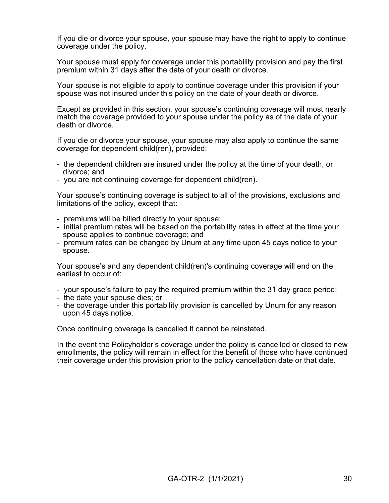If you die or divorce your spouse, your spouse may have the right to apply to continue coverage under the policy.

Your spouse must apply for coverage under this portability provision and pay the first premium within 31 days after the date of your death or divorce.

Your spouse is not eligible to apply to continue coverage under this provision if your spouse was not insured under this policy on the date of your death or divorce.

Except as provided in this section, your spouse's continuing coverage will most nearly match the coverage provided to your spouse under the policy as of the date of your death or divorce.

If you die or divorce your spouse, your spouse may also apply to continue the same coverage for dependent child(ren), provided:

- the dependent children are insured under the policy at the time of your death, or divorce; and
- you are not continuing coverage for dependent child(ren).

Your spouse's continuing coverage is subject to all of the provisions, exclusions and limitations of the policy, except that:

- premiums will be billed directly to your spouse;
- initial premium rates will be based on the portability rates in effect at the time your spouse applies to continue coverage; and
- premium rates can be changed by Unum at any time upon 45 days notice to your spouse.

Your spouse's and any dependent child(ren)'s continuing coverage will end on the earliest to occur of:

- your spouse's failure to pay the required premium within the 31 day grace period;
- the date your spouse dies; or
- the coverage under this portability provision is cancelled by Unum for any reason upon 45 days notice.

Once continuing coverage is cancelled it cannot be reinstated.

In the event the Policyholder's coverage under the policy is cancelled or closed to new enrollments, the policy will remain in effect for the benefit of those who have continued their coverage under this provision prior to the policy cancellation date or that date.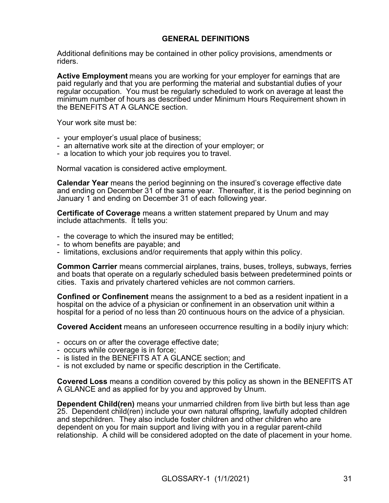## **GENERAL DEFINITIONS**

Additional definitions may be contained in other policy provisions, amendments or riders.

**Active Employment** means you are working for your employer for earnings that are paid regularly and that you are performing the material and substantial duties of your regular occupation. You must be regularly scheduled to work on average at least the minimum number of hours as described under Minimum Hours Requirement shown in the BENEFITS AT A GLANCE section.

Your work site must be:

- your employer's usual place of business;
- an alternative work site at the direction of your employer; or
- a location to which your job requires you to travel.

Normal vacation is considered active employment.

**Calendar Year** means the period beginning on the insured's coverage effective date and ending on December 31 of the same year. Thereafter, it is the period beginning on January 1 and ending on December 31 of each following year.

**Certificate of Coverage** means a written statement prepared by Unum and may include attachments. It tells you:

- the coverage to which the insured may be entitled;
- to whom benefits are payable; and
- limitations, exclusions and/or requirements that apply within this policy.

**Common Carrier** means commercial airplanes, trains, buses, trolleys, subways, ferries and boats that operate on a regularly scheduled basis between predetermined points or cities. Taxis and privately chartered vehicles are not common carriers.

**Confined or Confinement** means the assignment to a bed as a resident inpatient in a hospital on the advice of a physician or confinement in an observation unit within a hospital for a period of no less than 20 continuous hours on the advice of a physician.

**Covered Accident** means an unforeseen occurrence resulting in a bodily injury which:

- occurs on or after the coverage effective date;
- occurs while coverage is in force;
- is listed in the BENEFITS AT A GLANCE section; and
- is not excluded by name or specific description in the Certificate.

**Covered Loss** means a condition covered by this policy as shown in the BENEFITS AT A GLANCE and as applied for by you and approved by Unum.

**Dependent Child(ren)** means your unmarried children from live birth but less than age 25. Dependent child(ren) include your own natural offspring, lawfully adopted children and stepchildren. They also include foster children and other children who are dependent on you for main support and living with you in a regular parent-child relationship. A child will be considered adopted on the date of placement in your home.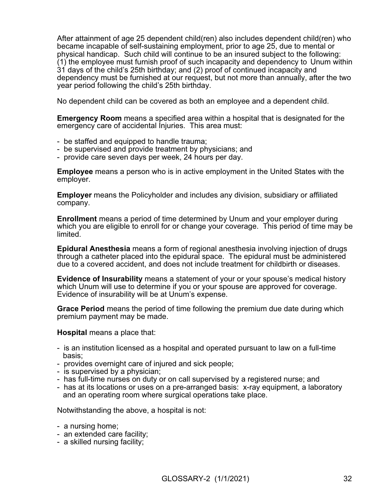After attainment of age 25 dependent child(ren) also includes dependent child(ren) who became incapable of self-sustaining employment, prior to age 25, due to mental or physical handicap. Such child will continue to be an insured subject to the following: (1) the employee must furnish proof of such incapacity and dependency to Unum within 31 days of the child's 25th birthday; and (2) proof of continued incapacity and dependency must be furnished at our request, but not more than annually, after the two year period following the child's 25th birthday.

No dependent child can be covered as both an employee and a dependent child.

**Emergency Room** means a specified area within a hospital that is designated for the emergency care of accidental Injuries. This area must:

- be staffed and equipped to handle trauma;
- be supervised and provide treatment by physicians; and
- provide care seven days per week, 24 hours per day.

**Employee** means a person who is in active employment in the United States with the employer.

**Employer** means the Policyholder and includes any division, subsidiary or affiliated company.

**Enrollment** means a period of time determined by Unum and your employer during which you are eligible to enroll for or change your coverage. This period of time may be limited.

**Epidural Anesthesia** means a form of regional anesthesia involving injection of drugs through a catheter placed into the epidural space. The epidural must be administered due to a covered accident, and does not include treatment for childbirth or diseases.

**Evidence of Insurability** means a statement of your or your spouse's medical history which Unum will use to determine if you or your spouse are approved for coverage. Evidence of insurability will be at Unum's expense.

**Grace Period** means the period of time following the premium due date during which premium payment may be made.

**Hospital** means a place that:

- is an institution licensed as a hospital and operated pursuant to law on a full-time basis;
- provides overnight care of injured and sick people;
- is supervised by a physician;
- has full-time nurses on duty or on call supervised by a registered nurse; and
- has at its locations or uses on a pre-arranged basis: x-ray equipment, a laboratory and an operating room where surgical operations take place.

Notwithstanding the above, a hospital is not:

- a nursing home;
- an extended care facility;
- a skilled nursing facility;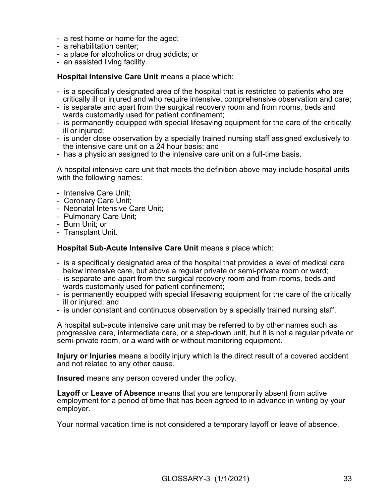- a rest home or home for the aged;
- a rehabilitation center;
- a place for alcoholics or drug addicts; or
- an assisted living facility.

**Hospital Intensive Care Unit** means a place which:

- is a specifically designated area of the hospital that is restricted to patients who are critically ill or injured and who require intensive, comprehensive observation and care;
- is separate and apart from the surgical recovery room and from rooms, beds and wards customarily used for patient confinement;
- is permanently equipped with special lifesaving equipment for the care of the critically ill or injured;
- is under close observation by a specially trained nursing staff assigned exclusively to the intensive care unit on a 24 hour basis; and
- has a physician assigned to the intensive care unit on a full-time basis.

A hospital intensive care unit that meets the definition above may include hospital units with the following names:

- Intensive Care Unit;
- Coronary Care Unit;
- Neonatal Intensive Care Unit;
- Pulmonary Care Unit;
- Burn Unit; or
- Transplant Unit.

**Hospital Sub-Acute Intensive Care Unit** means a place which:

- is a specifically designated area of the hospital that provides a level of medical care below intensive care, but above a regular private or semi-private room or ward;
- is separate and apart from the surgical recovery room and from rooms, beds and wards customarily used for patient confinement;
- is permanently equipped with special lifesaving equipment for the care of the critically ill or injured; and
- is under constant and continuous observation by a specially trained nursing staff.

A hospital sub-acute intensive care unit may be referred to by other names such as progressive care, intermediate care, or a step-down unit, but it is not a regular private or semi-private room, or a ward with or without monitoring equipment.

**Injury or Injuries** means a bodily injury which is the direct result of a covered accident and not related to any other cause.

**Insured** means any person covered under the policy.

**Layoff** or **Leave of Absence** means that you are temporarily absent from active employment for a period of time that has been agreed to in advance in writing by your employer.

Your normal vacation time is not considered a temporary layoff or leave of absence.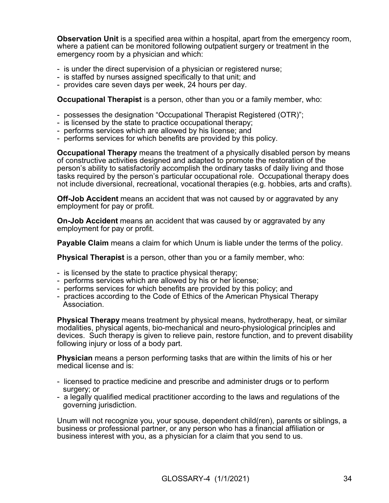**Observation Unit** is a specified area within a hospital, apart from the emergency room, where a patient can be monitored following outpatient surgery or treatment in the emergency room by a physician and which:

- is under the direct supervision of a physician or registered nurse;
- is staffed by nurses assigned specifically to that unit; and
- provides care seven days per week, 24 hours per day.

**Occupational Therapist** is a person, other than you or a family member, who:

- possesses the designation "Occupational Therapist Registered (OTR)";
- is licensed by the state to practice occupational therapy;
- performs services which are allowed by his license; and
- performs services for which benefits are provided by this policy.

**Occupational Therapy** means the treatment of a physically disabled person by means of constructive activities designed and adapted to promote the restoration of the person's ability to satisfactorily accomplish the ordinary tasks of daily living and those tasks required by the person's particular occupational role. Occupational therapy does not include diversional, recreational, vocational therapies (e.g. hobbies, arts and crafts).

**Off-Job Accident** means an accident that was not caused by or aggravated by any employment for pay or profit.

**On-Job Accident** means an accident that was caused by or aggravated by any employment for pay or profit.

**Payable Claim** means a claim for which Unum is liable under the terms of the policy.

**Physical Therapist** is a person, other than you or a family member, who:

- is licensed by the state to practice physical therapy;
- performs services which are allowed by his or her license;
- performs services for which benefits are provided by this policy; and
- practices according to the Code of Ethics of the American Physical Therapy Association.

**Physical Therapy** means treatment by physical means, hydrotherapy, heat, or similar modalities, physical agents, bio-mechanical and neuro-physiological principles and devices. Such therapy is given to relieve pain, restore function, and to prevent disability following injury or loss of a body part.

**Physician** means a person performing tasks that are within the limits of his or her medical license and is:

- licensed to practice medicine and prescribe and administer drugs or to perform surgery; or
- a legally qualified medical practitioner according to the laws and regulations of the governing jurisdiction.

Unum will not recognize you, your spouse, dependent child(ren), parents or siblings, a business or professional partner, or any person who has a financial affiliation or business interest with you, as a physician for a claim that you send to us.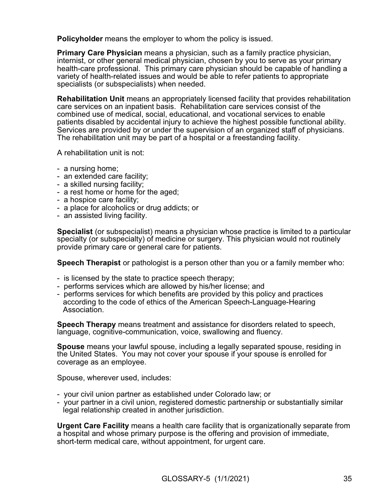**Policyholder** means the employer to whom the policy is issued.

**Primary Care Physician** means a physician, such as a family practice physician, internist, or other general medical physician, chosen by you to serve as your primary health-care professional. This primary care physician should be capable of handling a variety of health-related issues and would be able to refer patients to appropriate specialists (or subspecialists) when needed.

**Rehabilitation Unit** means an appropriately licensed facility that provides rehabilitation care services on an inpatient basis. Rehabilitation care services consist of the combined use of medical, social, educational, and vocational services to enable patients disabled by accidental injury to achieve the highest possible functional ability. Services are provided by or under the supervision of an organized staff of physicians. The rehabilitation unit may be part of a hospital or a freestanding facility.

A rehabilitation unit is not:

- a nursing home;
- an extended care facility;
- a skilled nursing facility;
- a rest home or home for the aged;
- a hospice care facility;
- a place for alcoholics or drug addicts; or
- an assisted living facility.

**Specialist** (or subspecialist) means a physician whose practice is limited to a particular specialty (or subspecialty) of medicine or surgery. This physician would not routinely provide primary care or general care for patients.

**Speech Therapist** or pathologist is a person other than you or a family member who:

- is licensed by the state to practice speech therapy;
- performs services which are allowed by his/her license; and
- performs services for which benefits are provided by this policy and practices according to the code of ethics of the American Speech-Language-Hearing Association.

**Speech Therapy** means treatment and assistance for disorders related to speech, language, cognitive-communication, voice, swallowing and fluency.

**Spouse** means your lawful spouse, including a legally separated spouse, residing in the United States. You may not cover your spouse if your spouse is enrolled for coverage as an employee.

Spouse, wherever used, includes:

- your civil union partner as established under Colorado law; or
- your partner in a civil union, registered domestic partnership or substantially similar legal relationship created in another jurisdiction.

**Urgent Care Facility** means a health care facility that is organizationally separate from a hospital and whose primary purpose is the offering and provision of immediate, short-term medical care, without appointment, for urgent care.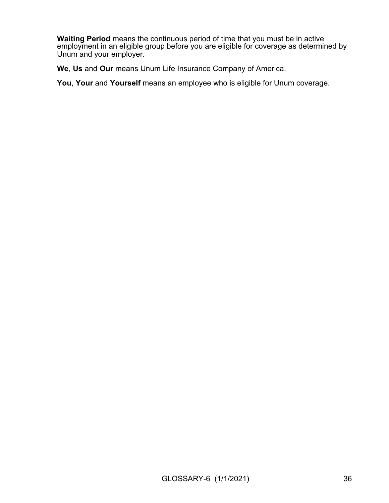**Waiting Period** means the continuous period of time that you must be in active employment in an eligible group before you are eligible for coverage as determined by Unum and your employer.

**We**, **Us** and **Our** means Unum Life Insurance Company of America.

**You**, **Your** and **Yourself** means an employee who is eligible for Unum coverage.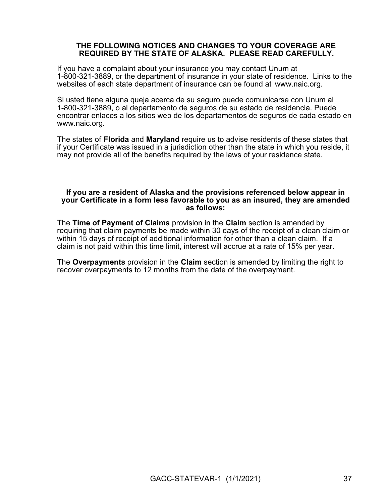### **THE FOLLOWING NOTICES AND CHANGES TO YOUR COVERAGE ARE REQUIRED BY THE STATE OF ALASKA. PLEASE READ CAREFULLY.**

If you have a complaint about your insurance you may contact Unum at 1-800-321-3889, or the department of insurance in your state of residence. Links to the websites of each state department of insurance can be found at [www.naic.org](http://www.naic.org/).

Si usted tiene alguna queja acerca de su seguro puede comunicarse con Unum al 1-800-321-3889, o al departamento de seguros de su estado de residencia. Puede encontrar enlaces a los sitios web de los departamentos de seguros de cada estado en [www.naic.org.](http://www.naic.org)

The states of **Florida** and **Maryland** require us to advise residents of these states that if your Certificate was issued in a jurisdiction other than the state in which you reside, it may not provide all of the benefits required by the laws of your residence state.

#### **If you are a resident of Alaska and the provisions referenced below appear in your Certificate in a form less favorable to you as an insured, they are amended as follows:**

The **Time of Payment of Claims** provision in the **Claim** section is amended by requiring that claim payments be made within 30 days of the receipt of a clean claim or within 15 days of receipt of additional information for other than a clean claim. If a claim is not paid within this time limit, interest will accrue at a rate of 15% per year.

The **Overpayments** provision in the **Claim** section is amended by limiting the right to recover overpayments to 12 months from the date of the overpayment.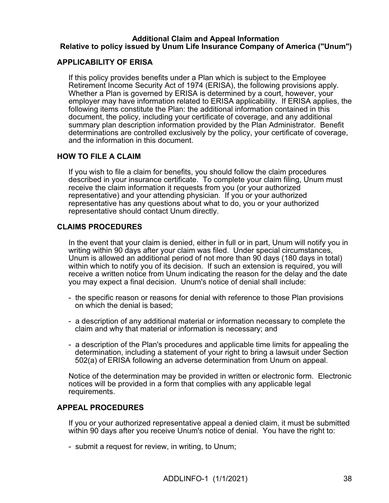### **Additional Claim and Appeal Information Relative to policy issued by Unum Life Insurance Company of America ("Unum")**

### **APPLICABILITY OF ERISA**

If this policy provides benefits under a Plan which is subject to the Employee Retirement Income Security Act of 1974 (ERISA), the following provisions apply. Whether a Plan is governed by ERISA is determined by a court, however, your employer may have information related to ERISA applicability. If ERISA applies, the following items constitute the Plan: the additional information contained in this document, the policy, including your certificate of coverage, and any additional summary plan description information provided by the Plan Administrator. Benefit determinations are controlled exclusively by the policy, your certificate of coverage, and the information in this document.

### **HOW TO FILE A CLAIM**

If you wish to file a claim for benefits, you should follow the claim procedures described in your insurance certificate. To complete your claim filing, Unum must receive the claim information it requests from you (or your authorized representative) and your attending physician. If you or your authorized representative has any questions about what to do, you or your authorized representative should contact Unum directly.

## **CLAIMS PROCEDURES**

In the event that your claim is denied, either in full or in part, Unum will notify you in writing within 90 days after your claim was filed. Under special circumstances, Unum is allowed an additional period of not more than 90 days (180 days in total) within which to notify you of its decision. If such an extension is required, you will receive a written notice from Unum indicating the reason for the delay and the date you may expect a final decision. Unum's notice of denial shall include:

- the specific reason or reasons for denial with reference to those Plan provisions on which the denial is based;
- a description of any additional material or information necessary to complete the claim and why that material or information is necessary; and
- a description of the Plan's procedures and applicable time limits for appealing the determination, including a statement of your right to bring a lawsuit under Section 502(a) of ERISA following an adverse determination from Unum on appeal.

Notice of the determination may be provided in written or electronic form. Electronic notices will be provided in a form that complies with any applicable legal requirements.

### **APPEAL PROCEDURES**

If you or your authorized representative appeal a denied claim, it must be submitted within 90 days after you receive Unum's notice of denial. You have the right to:

- submit a request for review, in writing, to Unum;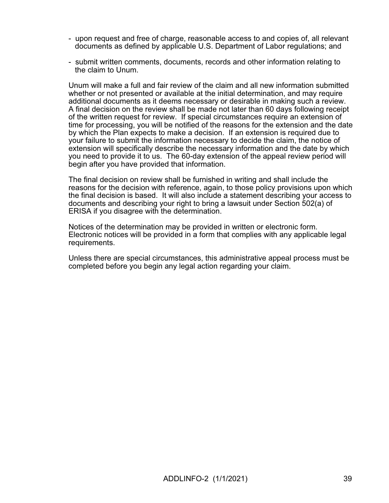- upon request and free of charge, reasonable access to and copies of, all relevant documents as defined by applicable U.S. Department of Labor regulations; and
- submit written comments, documents, records and other information relating to the claim to Unum.

Unum will make a full and fair review of the claim and all new information submitted whether or not presented or available at the initial determination, and may require additional documents as it deems necessary or desirable in making such a review. A final decision on the review shall be made not later than 60 days following receipt of the written request for review. If special circumstances require an extension of time for processing, you will be notified of the reasons for the extension and the date by which the Plan expects to make a decision. If an extension is required due to your failure to submit the information necessary to decide the claim, the notice of extension will specifically describe the necessary information and the date by which you need to provide it to us. The 60-day extension of the appeal review period will begin after you have provided that information.

The final decision on review shall be furnished in writing and shall include the reasons for the decision with reference, again, to those policy provisions upon which the final decision is based. It will also include a statement describing your access to documents and describing your right to bring a lawsuit under Section 502(a) of ERISA if you disagree with the determination.

Notices of the determination may be provided in written or electronic form. Electronic notices will be provided in a form that complies with any applicable legal requirements.

Unless there are special circumstances, this administrative appeal process must be completed before you begin any legal action regarding your claim.